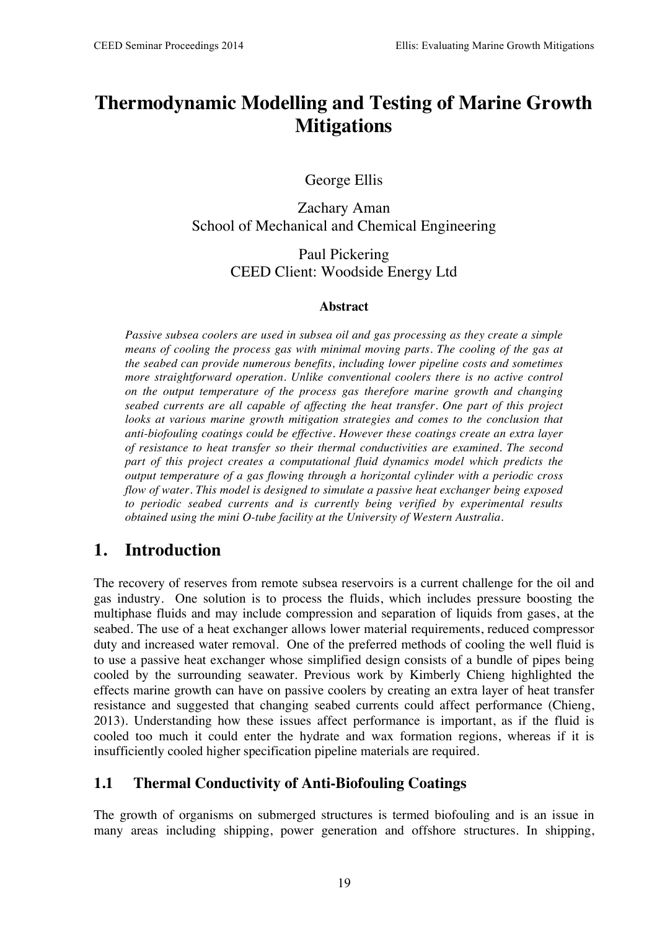# **Thermodynamic Modelling and Testing of Marine Growth Mitigations**

George Ellis

Zachary Aman School of Mechanical and Chemical Engineering

> Paul Pickering CEED Client: Woodside Energy Ltd

#### **Abstract**

*Passive subsea coolers are used in subsea oil and gas processing as they create a simple means of cooling the process gas with minimal moving parts. The cooling of the gas at the seabed can provide numerous benefits, including lower pipeline costs and sometimes more straightforward operation. Unlike conventional coolers there is no active control on the output temperature of the process gas therefore marine growth and changing seabed currents are all capable of affecting the heat transfer. One part of this project*  looks at various marine growth mitigation strategies and comes to the conclusion that *anti-biofouling coatings could be effective. However these coatings create an extra layer of resistance to heat transfer so their thermal conductivities are examined. The second part of this project creates a computational fluid dynamics model which predicts the output temperature of a gas flowing through a horizontal cylinder with a periodic cross flow of water. This model is designed to simulate a passive heat exchanger being exposed to periodic seabed currents and is currently being verified by experimental results obtained using the mini O-tube facility at the University of Western Australia.*

## **1. Introduction**

The recovery of reserves from remote subsea reservoirs is a current challenge for the oil and gas industry. One solution is to process the fluids, which includes pressure boosting the multiphase fluids and may include compression and separation of liquids from gases, at the seabed. The use of a heat exchanger allows lower material requirements, reduced compressor duty and increased water removal. One of the preferred methods of cooling the well fluid is to use a passive heat exchanger whose simplified design consists of a bundle of pipes being cooled by the surrounding seawater. Previous work by Kimberly Chieng highlighted the effects marine growth can have on passive coolers by creating an extra layer of heat transfer resistance and suggested that changing seabed currents could affect performance (Chieng, 2013). Understanding how these issues affect performance is important, as if the fluid is cooled too much it could enter the hydrate and wax formation regions, whereas if it is insufficiently cooled higher specification pipeline materials are required.

#### **1.1 Thermal Conductivity of Anti-Biofouling Coatings**

The growth of organisms on submerged structures is termed biofouling and is an issue in many areas including shipping, power generation and offshore structures. In shipping,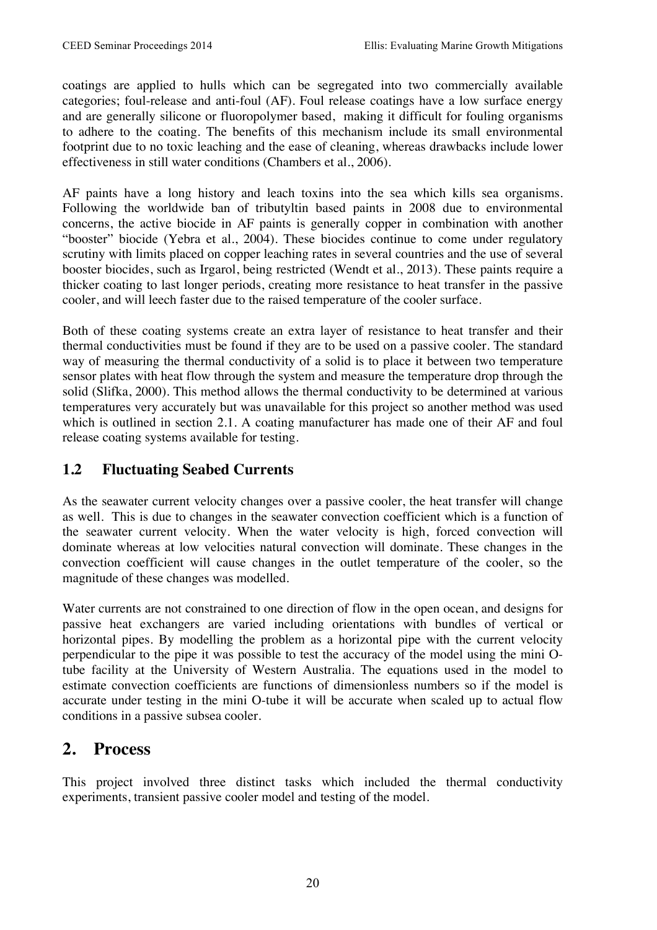coatings are applied to hulls which can be segregated into two commercially available categories; foul-release and anti-foul (AF). Foul release coatings have a low surface energy and are generally silicone or fluoropolymer based, making it difficult for fouling organisms to adhere to the coating. The benefits of this mechanism include its small environmental footprint due to no toxic leaching and the ease of cleaning, whereas drawbacks include lower effectiveness in still water conditions (Chambers et al., 2006).

AF paints have a long history and leach toxins into the sea which kills sea organisms. Following the worldwide ban of tributyltin based paints in 2008 due to environmental concerns, the active biocide in AF paints is generally copper in combination with another "booster" biocide (Yebra et al., 2004). These biocides continue to come under regulatory scrutiny with limits placed on copper leaching rates in several countries and the use of several booster biocides, such as Irgarol, being restricted (Wendt et al., 2013). These paints require a thicker coating to last longer periods, creating more resistance to heat transfer in the passive cooler, and will leech faster due to the raised temperature of the cooler surface.

Both of these coating systems create an extra layer of resistance to heat transfer and their thermal conductivities must be found if they are to be used on a passive cooler. The standard way of measuring the thermal conductivity of a solid is to place it between two temperature sensor plates with heat flow through the system and measure the temperature drop through the solid (Slifka, 2000). This method allows the thermal conductivity to be determined at various temperatures very accurately but was unavailable for this project so another method was used which is outlined in section 2.1. A coating manufacturer has made one of their AF and foul release coating systems available for testing.

### **1.2 Fluctuating Seabed Currents**

As the seawater current velocity changes over a passive cooler, the heat transfer will change as well. This is due to changes in the seawater convection coefficient which is a function of the seawater current velocity. When the water velocity is high, forced convection will dominate whereas at low velocities natural convection will dominate. These changes in the convection coefficient will cause changes in the outlet temperature of the cooler, so the magnitude of these changes was modelled.

Water currents are not constrained to one direction of flow in the open ocean, and designs for passive heat exchangers are varied including orientations with bundles of vertical or horizontal pipes. By modelling the problem as a horizontal pipe with the current velocity perpendicular to the pipe it was possible to test the accuracy of the model using the mini Otube facility at the University of Western Australia. The equations used in the model to estimate convection coefficients are functions of dimensionless numbers so if the model is accurate under testing in the mini O-tube it will be accurate when scaled up to actual flow conditions in a passive subsea cooler.

### **2. Process**

This project involved three distinct tasks which included the thermal conductivity experiments, transient passive cooler model and testing of the model.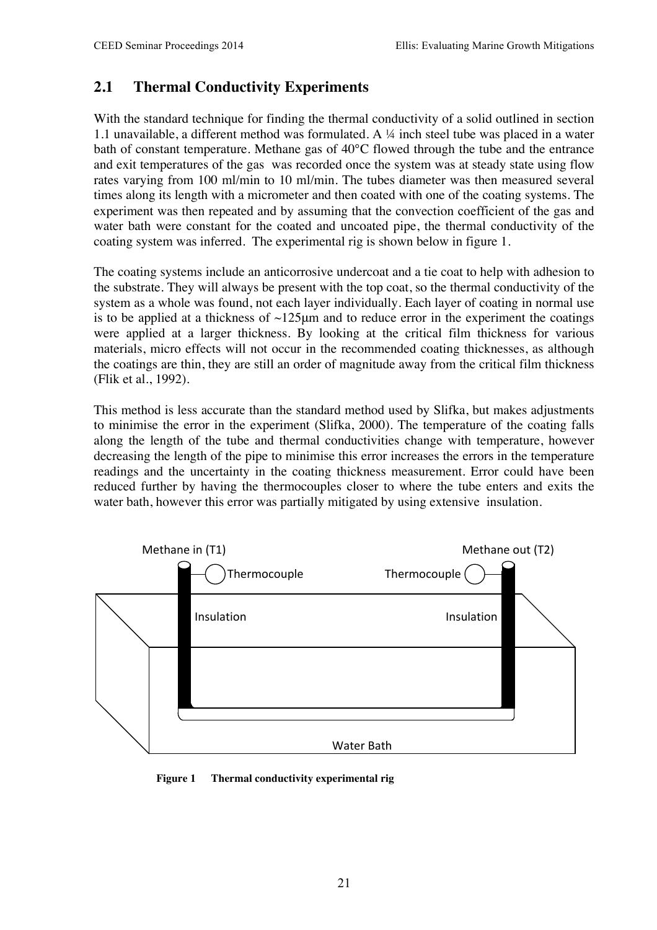### **2.1 Thermal Conductivity Experiments**

With the standard technique for finding the thermal conductivity of a solid outlined in section 1.1 unavailable, a different method was formulated. A ¼ inch steel tube was placed in a water bath of constant temperature. Methane gas of 40°C flowed through the tube and the entrance and exit temperatures of the gas was recorded once the system was at steady state using flow rates varying from 100 ml/min to 10 ml/min. The tubes diameter was then measured several times along its length with a micrometer and then coated with one of the coating systems. The experiment was then repeated and by assuming that the convection coefficient of the gas and water bath were constant for the coated and uncoated pipe, the thermal conductivity of the coating system was inferred. The experimental rig is shown below in figure 1.

The coating systems include an anticorrosive undercoat and a tie coat to help with adhesion to the substrate. They will always be present with the top coat, so the thermal conductivity of the system as a whole was found, not each layer individually. Each layer of coating in normal use is to be applied at a thickness of  $\sim$ 125 $\mu$ m and to reduce error in the experiment the coatings were applied at a larger thickness. By looking at the critical film thickness for various materials, micro effects will not occur in the recommended coating thicknesses, as although the coatings are thin, they are still an order of magnitude away from the critical film thickness (Flik et al., 1992).

This method is less accurate than the standard method used by Slifka, but makes adjustments to minimise the error in the experiment (Slifka, 2000). The temperature of the coating falls along the length of the tube and thermal conductivities change with temperature, however decreasing the length of the pipe to minimise this error increases the errors in the temperature readings and the uncertainty in the coating thickness measurement. Error could have been reduced further by having the thermocouples closer to where the tube enters and exits the water bath, however this error was partially mitigated by using extensive insulation.



**Figure 1 Thermal conductivity experimental rig**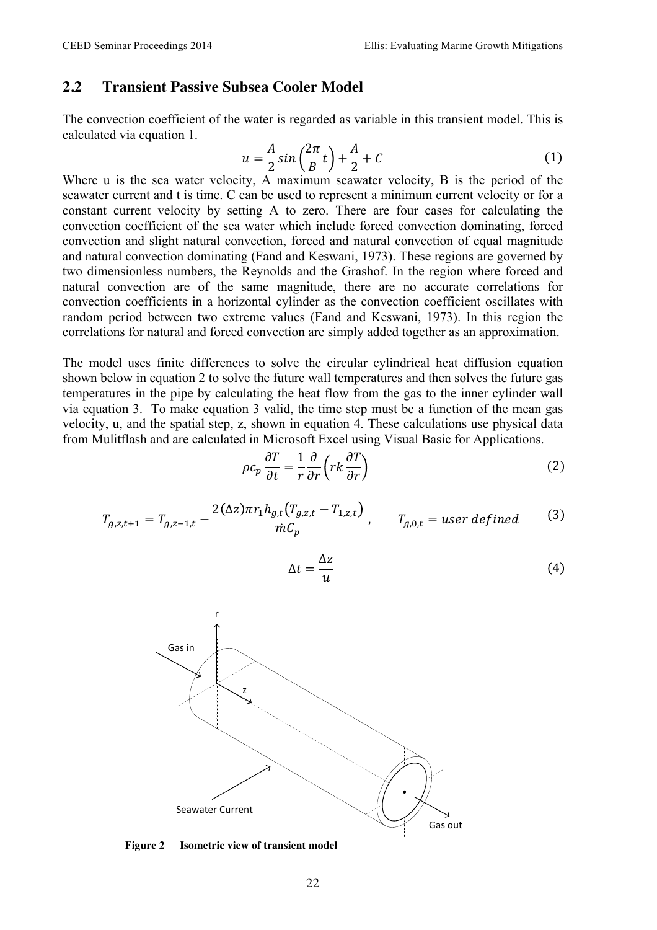#### **2.2 Transient Passive Subsea Cooler Model**

The convection coefficient of the water is regarded as variable in this transient model. This is calculated via equation 1.

$$
u = \frac{A}{2}\sin\left(\frac{2\pi}{B}t\right) + \frac{A}{2} + C\tag{1}
$$

Where u is the sea water velocity, A maximum seawater velocity, B is the period of the seawater current and t is time. C can be used to represent a minimum current velocity or for a constant current velocity by setting A to zero. There are four cases for calculating the convection coefficient of the sea water which include forced convection dominating, forced convection and slight natural convection, forced and natural convection of equal magnitude and natural convection dominating (Fand and Keswani, 1973). These regions are governed by two dimensionless numbers, the Reynolds and the Grashof. In the region where forced and natural convection are of the same magnitude, there are no accurate correlations for convection coefficients in a horizontal cylinder as the convection coefficient oscillates with random period between two extreme values (Fand and Keswani, 1973). In this region the correlations for natural and forced convection are simply added together as an approximation.

The model uses finite differences to solve the circular cylindrical heat diffusion equation shown below in equation 2 to solve the future wall temperatures and then solves the future gas temperatures in the pipe by calculating the heat flow from the gas to the inner cylinder wall via equation 3. To make equation 3 valid, the time step must be a function of the mean gas velocity, u, and the spatial step, z, shown in equation 4. These calculations use physical data from Mulitflash and are calculated in Microsoft Excel using Visual Basic for Applications.

$$
\rho c_p \frac{\partial T}{\partial t} = \frac{1}{r} \frac{\partial}{\partial r} \left( r k \frac{\partial T}{\partial r} \right) \tag{2}
$$

$$
T_{g,z,t+1} = T_{g,z-1,t} - \frac{2(\Delta z)\pi r_1 h_{g,t} (T_{g,z,t} - T_{1,z,t})}{\dot{m}C_p}, \qquad T_{g,0,t} = user\ defined \tag{3}
$$

$$
\Delta t = \frac{\Delta z}{u} \tag{4}
$$



**Figure 2 Isometric view of transient model**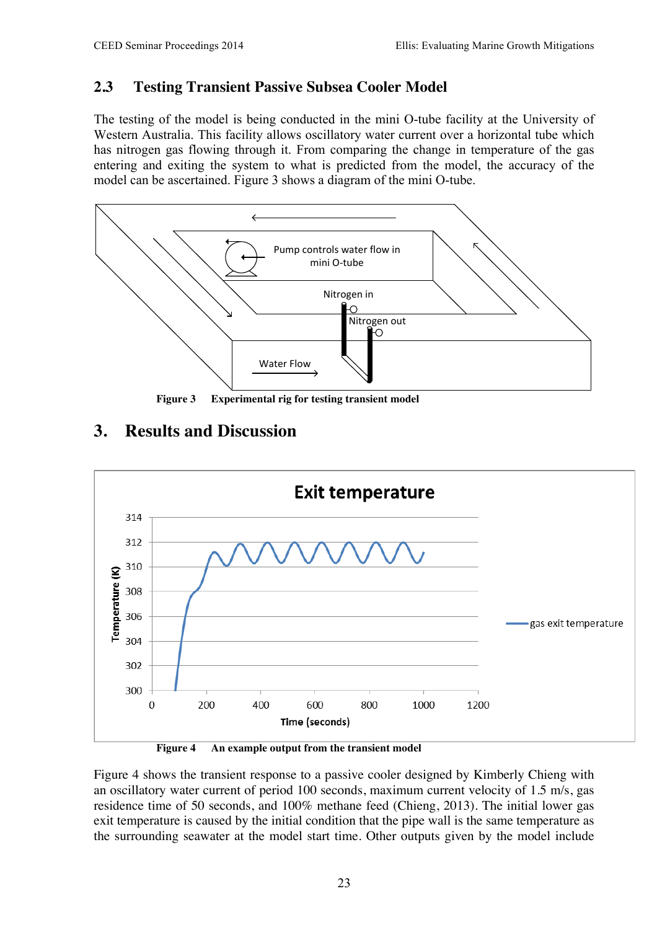### **2.3 Testing Transient Passive Subsea Cooler Model**

The testing of the model is being conducted in the mini O-tube facility at the University of Western Australia. This facility allows oscillatory water current over a horizontal tube which has nitrogen gas flowing through it. From comparing the change in temperature of the gas entering and exiting the system to what is predicted from the model, the accuracy of the model can be ascertained. Figure 3 shows a diagram of the mini O-tube.



**Figure 3 Experimental rig for testing transient model**

### **3. Results and Discussion**



**Figure 4 An example output from the transient model**

Figure 4 shows the transient response to a passive cooler designed by Kimberly Chieng with an oscillatory water current of period 100 seconds, maximum current velocity of 1.5 m/s, gas residence time of 50 seconds, and 100% methane feed (Chieng, 2013). The initial lower gas exit temperature is caused by the initial condition that the pipe wall is the same temperature as the surrounding seawater at the model start time. Other outputs given by the model include